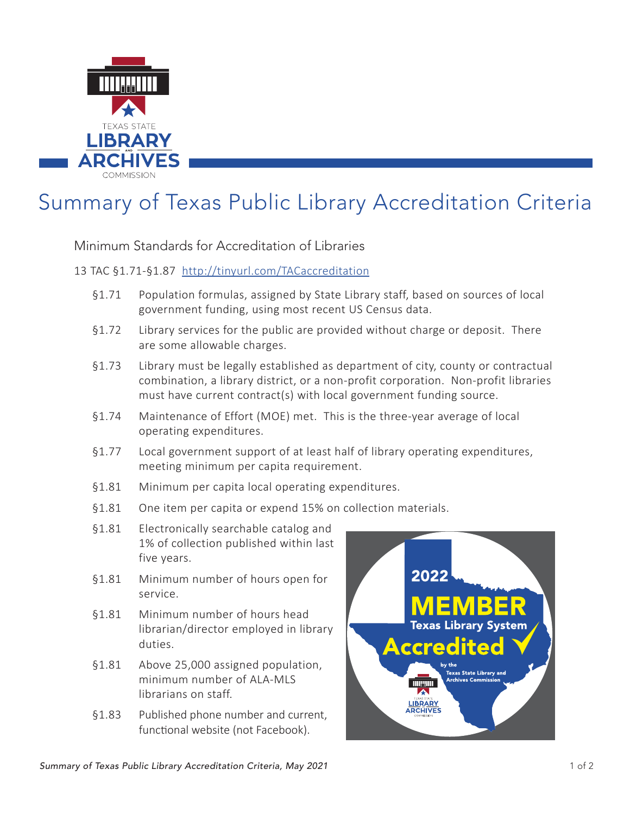

# Summary of Texas Public Library Accreditation Criteria

Minimum Standards for Accreditation of Libraries

#### 13 TAC §1.71-§1.87 <http://tinyurl.com/TACaccreditation>

- §1.71 Population formulas, assigned by State Library staff, based on sources of local government funding, using most recent US Census data.
- §1.72 Library services for the public are provided without charge or deposit. There are some allowable charges.
- §1.73 Library must be legally established as department of city, county or contractual combination, a library district, or a non-profit corporation. Non-profit libraries must have current contract(s) with local government funding source.
- §1.74 Maintenance of Effort (MOE) met. This is the three-year average of local operating expenditures.
- §1.77 Local government support of at least half of library operating expenditures, meeting minimum per capita requirement.
- §1.81 Minimum per capita local operating expenditures.
- §1.81 One item per capita or expend 15% on collection materials.
- §1.81 Electronically searchable catalog and 1% of collection published within last five years.
- §1.81 Minimum number of hours open for service.
- §1.81 Minimum number of hours head librarian/director employed in library duties.
- §1.81 Above 25,000 assigned population, minimum number of ALA-MLS librarians on staff.
- §1.83 Published phone number and current, functional website (not Facebook).

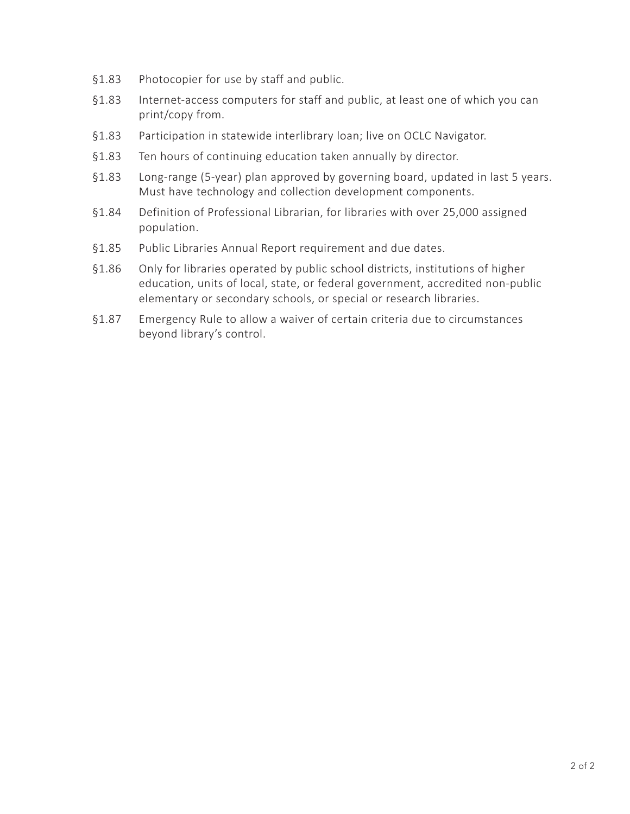- §1.83 Photocopier for use by staff and public.
- §1.83 Internet-access computers for staff and public, at least one of which you can print/copy from.
- §1.83 Participation in statewide interlibrary loan; live on OCLC Navigator.
- §1.83 Ten hours of continuing education taken annually by director.
- §1.83 Long-range (5-year) plan approved by governing board, updated in last 5 years. Must have technology and collection development components.
- §1.84 Definition of Professional Librarian, for libraries with over 25,000 assigned population.
- §1.85 Public Libraries Annual Report requirement and due dates.
- §1.86 Only for libraries operated by public school districts, institutions of higher education, units of local, state, or federal government, accredited non-public elementary or secondary schools, or special or research libraries.
- §1.87 Emergency Rule to allow a waiver of certain criteria due to circumstances beyond library's control.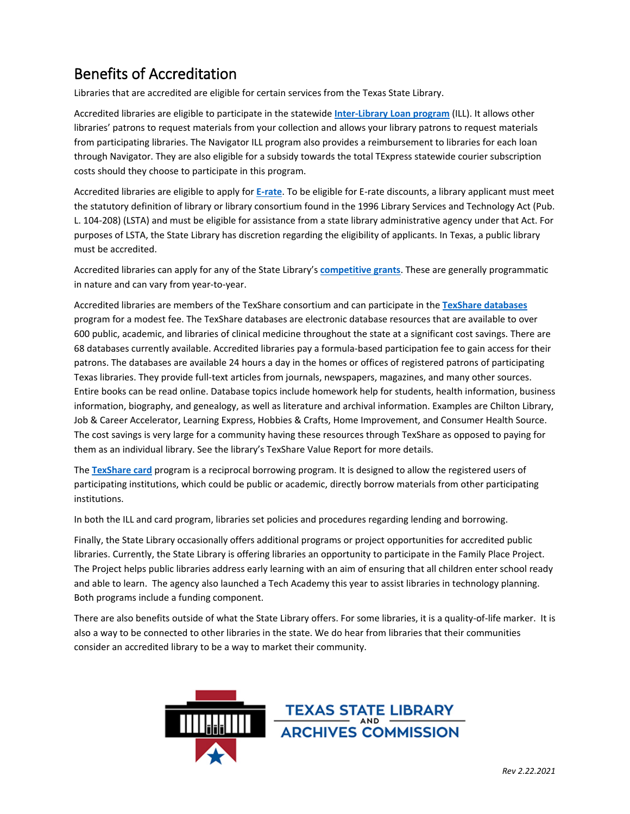## Benefits of Accreditation

Libraries that are accredited are eligible for certain services from the Texas State Library.

Accredited libraries are eligible to participate in the statewide **[Inter-Library Loan program](https://www.tsl.texas.gov/landing/ill.html)** (ILL). It allows other libraries' patrons to request materials from your collection and allows your library patrons to request materials from participating libraries. The Navigator ILL program also provides a reimbursement to libraries for each loan through Navigator. They are also eligible for a subsidy towards the total TExpress statewide courier subscription costs should they choose to participate in this program.

Accredited libraries are eligible to apply for **[E-rate](https://www.tsl.texas.gov/ld/tech/erate)**. To be eligible for E-rate discounts, a library applicant must meet the statutory definition of library or library consortium found in the 1996 Library Services and Technology Act (Pub. L. 104-208) (LSTA) and must be eligible for assistance from a state library administrative agency under that Act. For purposes of LSTA, the State Library has discretion regarding the eligibility of applicants. In Texas, a public library must be accredited.

Accredited libraries can apply for any of the State Library's **[competitive grants](https://www.tsl.texas.gov/landing/libfunds.html)**. These are generally programmatic in nature and can vary from year-to-year.

Accredited libraries are members of the TexShare consortium and can participate in the **[TexShare databases](https://www.tsl.texas.gov/texshare/databases)** program for a modest fee. The TexShare databases are electronic database resources that are available to over 600 public, academic, and libraries of clinical medicine throughout the state at a significant cost savings. There are 68 databases currently available. Accredited libraries pay a formula-based participation fee to gain access for their patrons. The databases are available 24 hours a day in the homes or offices of registered patrons of participating Texas libraries. They provide full-text articles from journals, newspapers, magazines, and many other sources. Entire books can be read online. Database topics include homework help for students, health information, business information, biography, and genealogy, as well as literature and archival information. Examples are Chilton Library, Job & Career Accelerator, Learning Express, Hobbies & Crafts, Home Improvement, and Consumer Health Source. The cost savings is very large for a community having these resources through TexShare as opposed to paying for them as an individual library. See the library's TexShare Value Report for more details.

The **[TexShare card](https://www.tsl.texas.gov/texshare/card)** program is a reciprocal borrowing program. It is designed to allow the registered users of participating institutions, which could be public or academic, directly borrow materials from other participating institutions.

In both the ILL and card program, libraries set policies and procedures regarding lending and borrowing.

Finally, the State Library occasionally offers additional programs or project opportunities for accredited public libraries. Currently, the State Library is offering libraries an opportunity to participate in the Family Place Project. The Project helps public libraries address early learning with an aim of ensuring that all children enter school ready and able to learn. The agency also launched a Tech Academy this year to assist libraries in technology planning. Both programs include a funding component.

There are also benefits outside of what the State Library offers. For some libraries, it is a quality-of-life marker. It is also a way to be connected to other libraries in the state. We do hear from libraries that their communities consider an accredited library to be a way to market their community.